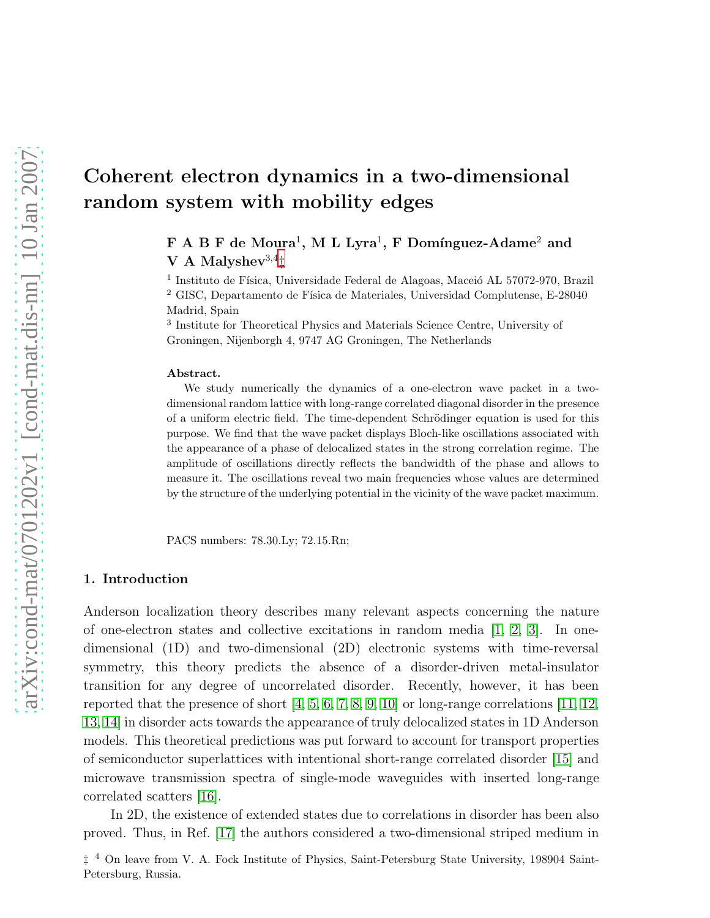# Coherent electron dynamics in a two-dimensional random system with mobility edges

 $\mathbf F$  A B  $\mathbf F$  de Moura<sup>1</sup>, M L Lyra<sup>1</sup>, F Domínguez-Adame<sup>2</sup> and V A Malyshev $^{3,4}$ 

 $^1$ Instituto de Física, Universidade Federal de Alagoas, Maceió AL 57072-970, Brazil <sup>2</sup> GISC, Departamento de Física de Materiales, Universidad Complutense, E-28040 Madrid, Spain

3 Institute for Theoretical Physics and Materials Science Centre, University of Groningen, Nijenborgh 4, 9747 AG Groningen, The Netherlands

#### Abstract.

We study numerically the dynamics of a one-electron wave packet in a twodimensional random lattice with long-range correlated diagonal disorder in the presence of a uniform electric field. The time-dependent Schrödinger equation is used for this purpose. We find that the wave packet displays Bloch-like oscillations associated with the appearance of a phase of delocalized states in the strong correlation regime. The amplitude of oscillations directly reflects the bandwidth of the phase and allows to measure it. The oscillations reveal two main frequencies whose values are determined by the structure of the underlying potential in the vicinity of the wave packet maximum.

PACS numbers: 78.30.Ly; 72.15.Rn;

## 1. Introduction

Anderson localization theory describes many relevant aspects concerning the nature of one-electron states and collective excitations in random media [\[1,](#page-6-0) [2,](#page-6-1) [3\]](#page-6-2). In onedimensional (1D) and two-dimensional (2D) electronic systems with time-reversal symmetry, this theory predicts the absence of a disorder-driven metal-insulator transition for any degree of uncorrelated disorder. Recently, however, it has been reported that the presence of short  $[4, 5, 6, 7, 8, 9, 10]$  $[4, 5, 6, 7, 8, 9, 10]$  $[4, 5, 6, 7, 8, 9, 10]$  $[4, 5, 6, 7, 8, 9, 10]$  $[4, 5, 6, 7, 8, 9, 10]$  $[4, 5, 6, 7, 8, 9, 10]$  $[4, 5, 6, 7, 8, 9, 10]$  or long-range correlations  $[11, 12,$  $[11, 12,$ [13,](#page-7-8) [14\]](#page-7-9) in disorder acts towards the appearance of truly delocalized states in 1D Anderson models. This theoretical predictions was put forward to account for transport properties of semiconductor superlattices with intentional short-range correlated disorder [\[15\]](#page-7-10) and microwave transmission spectra of single-mode waveguides with inserted long-range correlated scatters [\[16\]](#page-7-11).

In 2D, the existence of extended states due to correlations in disorder has been also proved. Thus, in Ref. [\[17\]](#page-7-12) the authors considered a two-dimensional striped medium in

<span id="page-0-0"></span><sup>‡</sup> <sup>4</sup> On leave from V. A. Fock Institute of Physics, Saint-Petersburg State University, 198904 Saint-Petersburg, Russia.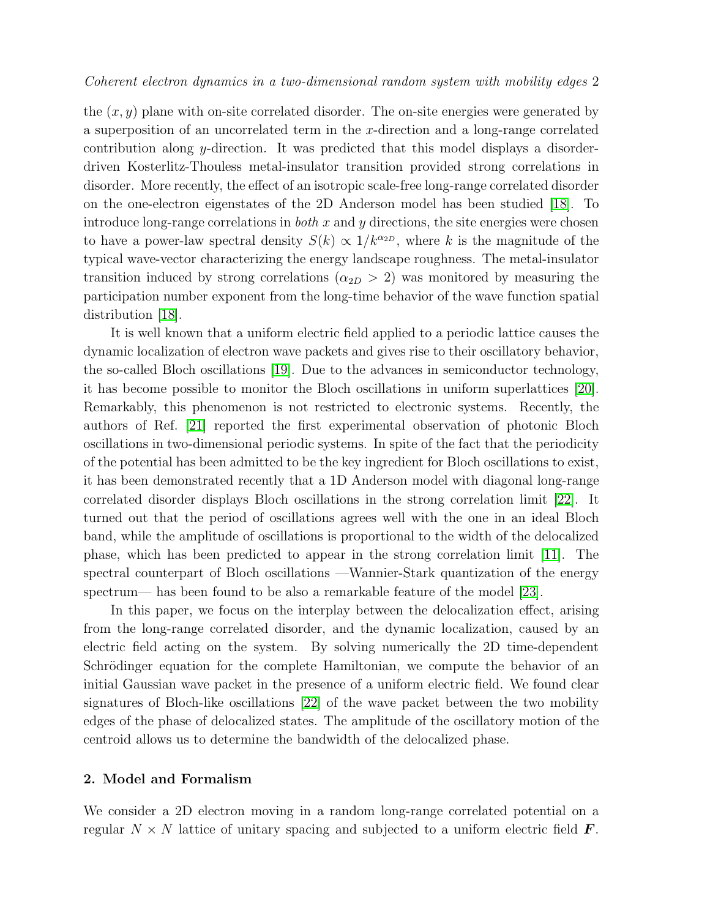the  $(x, y)$  plane with on-site correlated disorder. The on-site energies were generated by a superposition of an uncorrelated term in the x-direction and a long-range correlated contribution along y-direction. It was predicted that this model displays a disorderdriven Kosterlitz-Thouless metal-insulator transition provided strong correlations in disorder. More recently, the effect of an isotropic scale-free long-range correlated disorder on the one-electron eigenstates of the 2D Anderson model has been studied [\[18\]](#page-7-13). To introduce long-range correlations in *both*  $x$  and  $y$  directions, the site energies were chosen to have a power-law spectral density  $S(k) \propto 1/k^{\alpha_{2D}}$ , where k is the magnitude of the typical wave-vector characterizing the energy landscape roughness. The metal-insulator transition induced by strong correlations ( $\alpha_{2D} > 2$ ) was monitored by measuring the participation number exponent from the long-time behavior of the wave function spatial distribution [\[18\]](#page-7-13).

It is well known that a uniform electric field applied to a periodic lattice causes the dynamic localization of electron wave packets and gives rise to their oscillatory behavior, the so-called Bloch oscillations [\[19\]](#page-7-14). Due to the advances in semiconductor technology, it has become possible to monitor the Bloch oscillations in uniform superlattices [\[20\]](#page-7-15). Remarkably, this phenomenon is not restricted to electronic systems. Recently, the authors of Ref. [\[21\]](#page-7-16) reported the first experimental observation of photonic Bloch oscillations in two-dimensional periodic systems. In spite of the fact that the periodicity of the potential has been admitted to be the key ingredient for Bloch oscillations to exist, it has been demonstrated recently that a 1D Anderson model with diagonal long-range correlated disorder displays Bloch oscillations in the strong correlation limit [\[22\]](#page-7-17). It turned out that the period of oscillations agrees well with the one in an ideal Bloch band, while the amplitude of oscillations is proportional to the width of the delocalized phase, which has been predicted to appear in the strong correlation limit [\[11\]](#page-7-6). The spectral counterpart of Bloch oscillations —Wannier-Stark quantization of the energy spectrum— has been found to be also a remarkable feature of the model [\[23\]](#page-7-18).

In this paper, we focus on the interplay between the delocalization effect, arising from the long-range correlated disorder, and the dynamic localization, caused by an electric field acting on the system. By solving numerically the 2D time-dependent Schrödinger equation for the complete Hamiltonian, we compute the behavior of an initial Gaussian wave packet in the presence of a uniform electric field. We found clear signatures of Bloch-like oscillations [\[22\]](#page-7-17) of the wave packet between the two mobility edges of the phase of delocalized states. The amplitude of the oscillatory motion of the centroid allows us to determine the bandwidth of the delocalized phase.

#### 2. Model and Formalism

We consider a 2D electron moving in a random long-range correlated potential on a regular  $N \times N$  lattice of unitary spacing and subjected to a uniform electric field  $\bm{F}$ .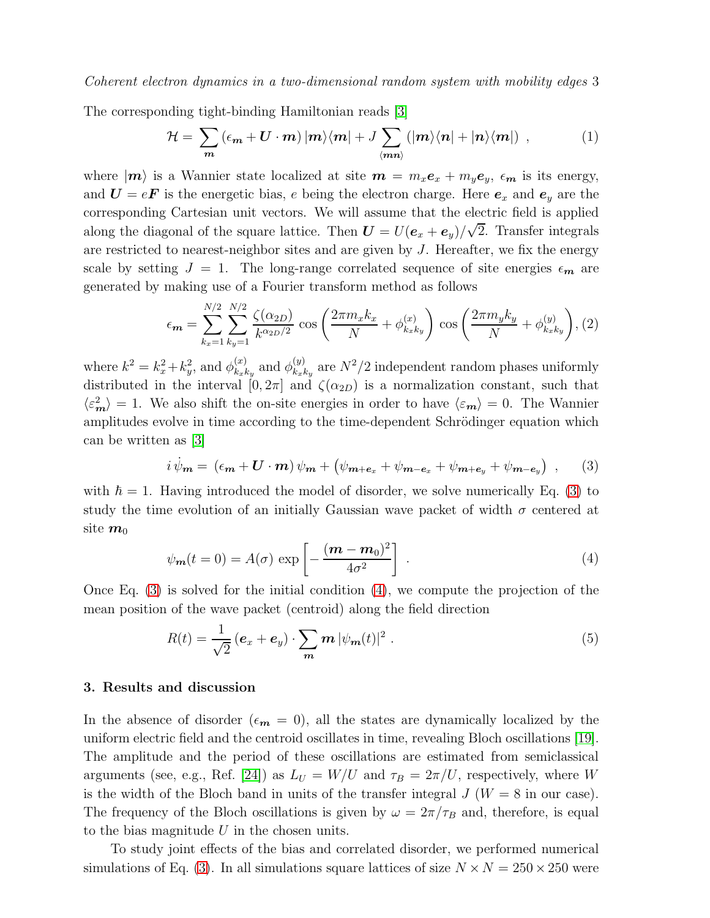Coherent electron dynamics in a two-dimensional random system with mobility edges 3

The corresponding tight-binding Hamiltonian reads [\[3\]](#page-6-2)

$$
\mathcal{H} = \sum_{m} \left( \epsilon_{m} + \mathbf{U} \cdot \mathbf{m} \right) |m\rangle \langle \mathbf{m}| + J \sum_{\langle \mathbf{m} \mathbf{n} \rangle} \left( | \mathbf{m} \rangle \langle \mathbf{n} | + | \mathbf{n} \rangle \langle \mathbf{m} | \right) , \tag{1}
$$

where  $|m\rangle$  is a Wannier state localized at site  $m = m_x e_x + m_y e_y$ ,  $\epsilon_m$  is its energy, and  $U = eF$  is the energetic bias, e being the electron charge. Here  $e_x$  and  $e_y$  are the corresponding Cartesian unit vectors. We will assume that the electric field is applied along the diagonal of the square lattice. Then  $\boldsymbol{U} = U(\boldsymbol{e}_x + \boldsymbol{e}_y)/\sqrt{2}$ . Transfer integrals are restricted to nearest-neighbor sites and are given by J. Hereafter, we fix the energy scale by setting  $J = 1$ . The long-range correlated sequence of site energies  $\epsilon_m$  are generated by making use of a Fourier transform method as follows

<span id="page-2-2"></span>
$$
\epsilon_{m} = \sum_{k_{x}=1}^{N/2} \sum_{k_{y}=1}^{N/2} \frac{\zeta(\alpha_{2D})}{k^{\alpha_{2D}/2}} \cos\left(\frac{2\pi m_{x} k_{x}}{N} + \phi_{k_{x}k_{y}}^{(x)}\right) \cos\left(\frac{2\pi m_{y} k_{y}}{N} + \phi_{k_{x}k_{y}}^{(y)}\right), (2)
$$

where  $k^2 = k_x^2 + k_y^2$ , and  $\phi_{k_x k}^{(x)}$  $_{k_{x}k_{y}}^{(x)}$  and  $\phi_{k_{x}k_{y}}^{(y)}$  $\binom{(y)}{k_x k_y}$  are  $N^2/2$  independent random phases uniformly distributed in the interval  $[0, 2\pi]$  and  $\zeta(\alpha_{2D})$  is a normalization constant, such that  $\langle \varepsilon_m^2 \rangle = 1$ . We also shift the on-site energies in order to have  $\langle \varepsilon_m \rangle = 0$ . The Wannier amplitudes evolve in time according to the time-dependent Schrödinger equation which can be written as [\[3\]](#page-6-2)

<span id="page-2-0"></span>
$$
i\,\dot{\psi}_m = (\epsilon_m + \mathbf{U} \cdot \mathbf{m})\,\psi_m + (\psi_{m+e_x} + \psi_{m-e_x} + \psi_{m+e_y} + \psi_{m-e_y})\,,\qquad(3)
$$

with  $\hbar = 1$ . Having introduced the model of disorder, we solve numerically Eq. [\(3\)](#page-2-0) to study the time evolution of an initially Gaussian wave packet of width  $\sigma$  centered at site  $m_0$ 

<span id="page-2-1"></span>
$$
\psi_{\mathbf{m}}(t=0) = A(\sigma) \exp\left[-\frac{(\mathbf{m} - \mathbf{m}_0)^2}{4\sigma^2}\right] \tag{4}
$$

Once Eq. [\(3\)](#page-2-0) is solved for the initial condition [\(4\)](#page-2-1), we compute the projection of the mean position of the wave packet (centroid) along the field direction

$$
R(t) = \frac{1}{\sqrt{2}} \left( \mathbf{e}_x + \mathbf{e}_y \right) \cdot \sum_{\mathbf{m}} \mathbf{m} \left| \psi_{\mathbf{m}}(t) \right|^2 \,. \tag{5}
$$

### 3. Results and discussion

In the absence of disorder ( $\epsilon_m = 0$ ), all the states are dynamically localized by the uniform electric field and the centroid oscillates in time, revealing Bloch oscillations [\[19\]](#page-7-14). The amplitude and the period of these oscillations are estimated from semiclassical arguments (see, e.g., Ref. [\[24\]](#page-7-19)) as  $L_U = W/U$  and  $\tau_B = 2\pi/U$ , respectively, where W is the width of the Bloch band in units of the transfer integral  $J(W = 8$  in our case). The frequency of the Bloch oscillations is given by  $\omega = 2\pi/\tau_B$  and, therefore, is equal to the bias magnitude  $U$  in the chosen units.

To study joint effects of the bias and correlated disorder, we performed numerical simulations of Eq. [\(3\)](#page-2-0). In all simulations square lattices of size  $N \times N = 250 \times 250$  were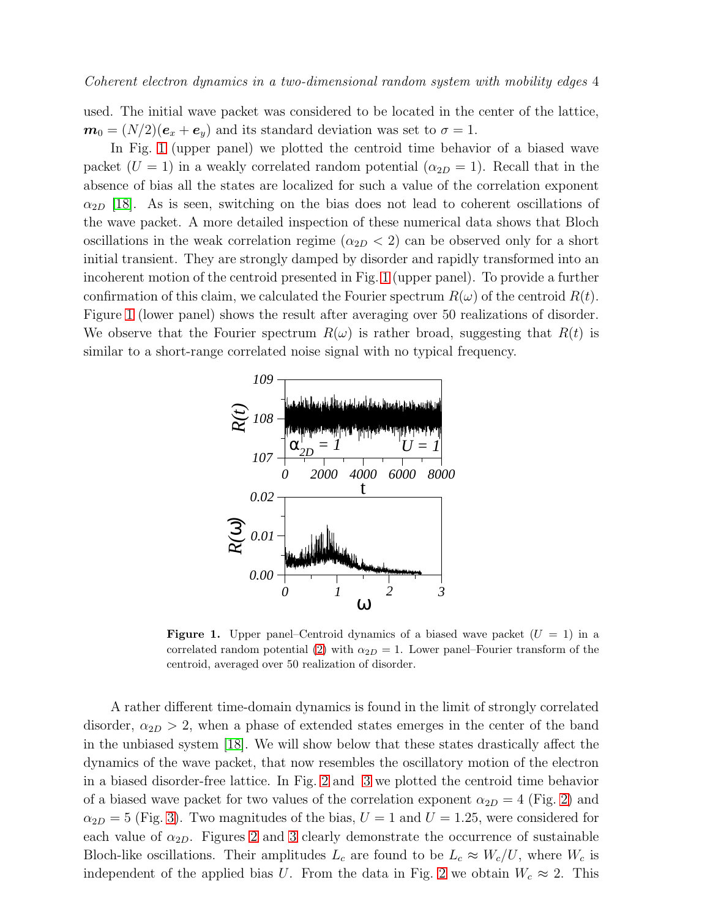used. The initial wave packet was considered to be located in the center of the lattice,  $m_0 = (N/2)(e_x + e_y)$  and its standard deviation was set to  $\sigma = 1$ .

In Fig. [1](#page-3-0) (upper panel) we plotted the centroid time behavior of a biased wave packet  $(U = 1)$  in a weakly correlated random potential  $(\alpha_{2D} = 1)$ . Recall that in the absence of bias all the states are localized for such a value of the correlation exponent  $\alpha_{2D}$  [\[18\]](#page-7-13). As is seen, switching on the bias does not lead to coherent oscillations of the wave packet. A more detailed inspection of these numerical data shows that Bloch oscillations in the weak correlation regime  $(\alpha_{2D} < 2)$  can be observed only for a short initial transient. They are strongly damped by disorder and rapidly transformed into an incoherent motion of the centroid presented in Fig. [1](#page-3-0) (upper panel). To provide a further confirmation of this claim, we calculated the Fourier spectrum  $R(\omega)$  of the centroid  $R(t)$ . Figure [1](#page-3-0) (lower panel) shows the result after averaging over 50 realizations of disorder. We observe that the Fourier spectrum  $R(\omega)$  is rather broad, suggesting that  $R(t)$  is similar to a short-range correlated noise signal with no typical frequency.



<span id="page-3-0"></span>**Figure 1.** Upper panel–Centroid dynamics of a biased wave packet  $(U = 1)$  in a correlated random potential [\(2\)](#page-2-2) with  $\alpha_{2D} = 1$ . Lower panel–Fourier transform of the centroid, averaged over 50 realization of disorder.

A rather different time-domain dynamics is found in the limit of strongly correlated disorder,  $\alpha_{2D} > 2$ , when a phase of extended states emerges in the center of the band in the unbiased system [\[18\]](#page-7-13). We will show below that these states drastically affect the dynamics of the wave packet, that now resembles the oscillatory motion of the electron in a biased disorder-free lattice. In Fig. [2](#page-4-0) and [3](#page-4-1) we plotted the centroid time behavior of a biased wave packet for two values of the correlation exponent  $\alpha_{2D} = 4$  (Fig. [2\)](#page-4-0) and  $\alpha_{2D} = 5$  (Fig. [3\)](#page-4-1). Two magnitudes of the bias,  $U = 1$  and  $U = 1.25$ , were considered for each value of  $\alpha_{2D}$ . Figures [2](#page-4-0) and [3](#page-4-1) clearly demonstrate the occurrence of sustainable Bloch-like oscillations. Their amplitudes  $L_c$  are found to be  $L_c \approx W_c/U$ , where  $W_c$  is independent of the applied bias U. From the data in Fig. [2](#page-4-0) we obtain  $W_c \approx 2$ . This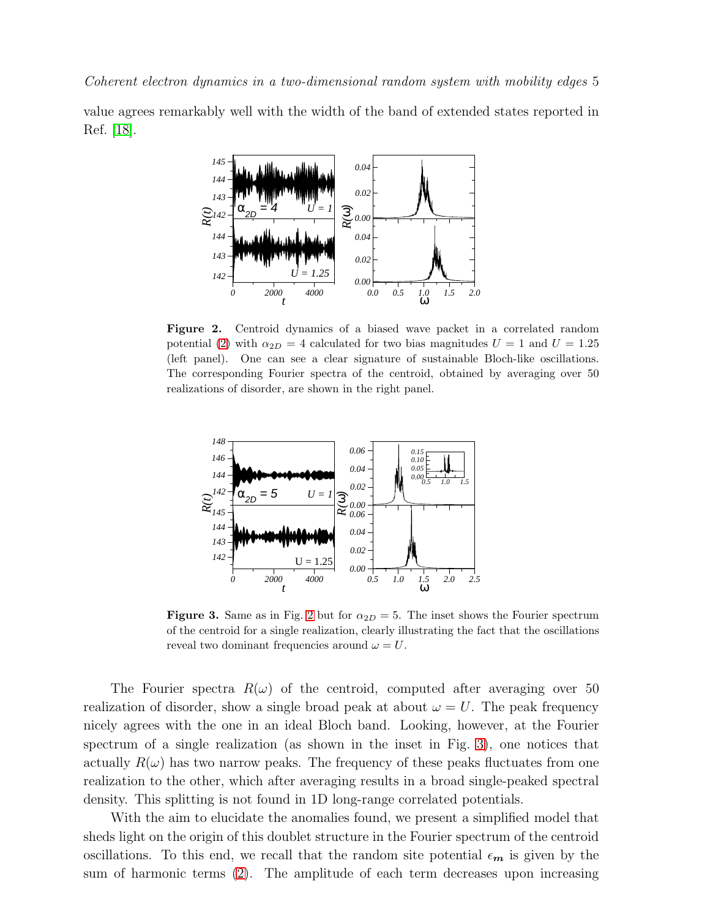value agrees remarkably well with the width of the band of extended states reported in Ref. [\[18\]](#page-7-13).



<span id="page-4-0"></span>Figure 2. Centroid dynamics of a biased wave packet in a correlated random potential [\(2\)](#page-2-2) with  $\alpha_{2D} = 4$  calculated for two bias magnitudes  $U = 1$  and  $U = 1.25$ (left panel). One can see a clear signature of sustainable Bloch-like oscillations. The corresponding Fourier spectra of the centroid, obtained by averaging over 50 realizations of disorder, are shown in the right panel.



<span id="page-4-1"></span>**Figure 3.** Same as in Fig. [2](#page-4-0) but for  $\alpha_{2D} = 5$ . The inset shows the Fourier spectrum of the centroid for a single realization, clearly illustrating the fact that the oscillations reveal two dominant frequencies around  $\omega = U$ .

The Fourier spectra  $R(\omega)$  of the centroid, computed after averaging over 50 realization of disorder, show a single broad peak at about  $\omega = U$ . The peak frequency nicely agrees with the one in an ideal Bloch band. Looking, however, at the Fourier spectrum of a single realization (as shown in the inset in Fig. [3\)](#page-4-1), one notices that actually  $R(\omega)$  has two narrow peaks. The frequency of these peaks fluctuates from one realization to the other, which after averaging results in a broad single-peaked spectral density. This splitting is not found in 1D long-range correlated potentials.

With the aim to elucidate the anomalies found, we present a simplified model that sheds light on the origin of this doublet structure in the Fourier spectrum of the centroid oscillations. To this end, we recall that the random site potential  $\epsilon_m$  is given by the sum of harmonic terms [\(2\)](#page-2-2). The amplitude of each term decreases upon increasing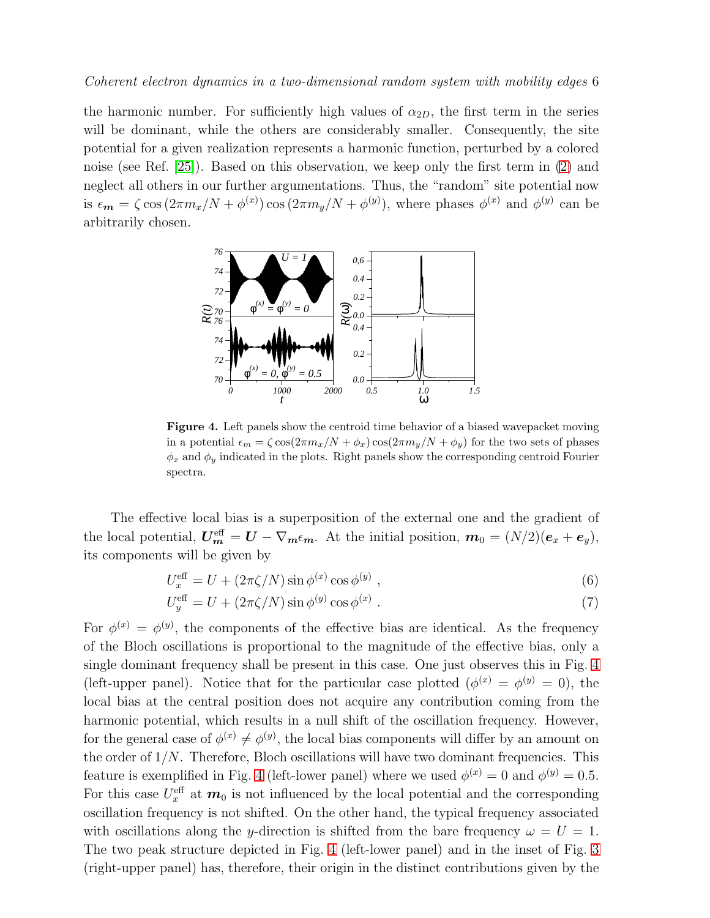#### Coherent electron dynamics in a two-dimensional random system with mobility edges 6

the harmonic number. For sufficiently high values of  $\alpha_{2D}$ , the first term in the series will be dominant, while the others are considerably smaller. Consequently, the site potential for a given realization represents a harmonic function, perturbed by a colored noise (see Ref. [\[25\]](#page-7-20)). Based on this observation, we keep only the first term in [\(2\)](#page-2-2) and neglect all others in our further argumentations. Thus, the "random" site potential now is  $\epsilon_m = \zeta \cos(2\pi m_x/N + \phi^{(x)}) \cos(2\pi m_y/N + \phi^{(y)})$ , where phases  $\phi^{(x)}$  and  $\phi^{(y)}$  can be arbitrarily chosen.



<span id="page-5-0"></span>Figure 4. Left panels show the centroid time behavior of a biased wavepacket moving in a potential  $\epsilon_m = \zeta \cos(2\pi m_x/N + \phi_x) \cos(2\pi m_y/N + \phi_y)$  for the two sets of phases  $\phi_x$  and  $\phi_y$  indicated in the plots. Right panels show the corresponding centroid Fourier spectra.

The effective local bias is a superposition of the external one and the gradient of the local potential,  $\boldsymbol{U_m^{\text{eff}}} = \boldsymbol{U} - \nabla_{\boldsymbol{m}} \epsilon_{\boldsymbol{m}}$ . At the initial position,  $\boldsymbol{m}_0 = (N/2)(\boldsymbol{e}_x + \boldsymbol{e}_y)$ , its components will be given by

$$
U_x^{\text{eff}} = U + (2\pi\zeta/N)\sin\phi^{(x)}\cos\phi^{(y)},\qquad(6)
$$

$$
U_y^{\text{eff}} = U + (2\pi\zeta/N)\sin\phi^{(y)}\cos\phi^{(x)}\,. \tag{7}
$$

For  $\phi^{(x)} = \phi^{(y)}$ , the components of the effective bias are identical. As the frequency of the Bloch oscillations is proportional to the magnitude of the effective bias, only a single dominant frequency shall be present in this case. One just observes this in Fig. [4](#page-5-0) (left-upper panel). Notice that for the particular case plotted  $(\phi^{(x)} = \phi^{(y)} = 0)$ , the local bias at the central position does not acquire any contribution coming from the harmonic potential, which results in a null shift of the oscillation frequency. However, for the general case of  $\phi^{(x)} \neq \phi^{(y)}$ , the local bias components will differ by an amount on the order of  $1/N$ . Therefore, Bloch oscillations will have two dominant frequencies. This feature is exemplified in Fig. [4](#page-5-0) (left-lower panel) where we used  $\phi^{(x)} = 0$  and  $\phi^{(y)} = 0.5$ . For this case  $U_x^{\text{eff}}$  at  $m_0$  is not influenced by the local potential and the corresponding oscillation frequency is not shifted. On the other hand, the typical frequency associated with oscillations along the y-direction is shifted from the bare frequency  $\omega = U = 1$ . The two peak structure depicted in Fig. [4](#page-5-0) (left-lower panel) and in the inset of Fig. [3](#page-4-1) (right-upper panel) has, therefore, their origin in the distinct contributions given by the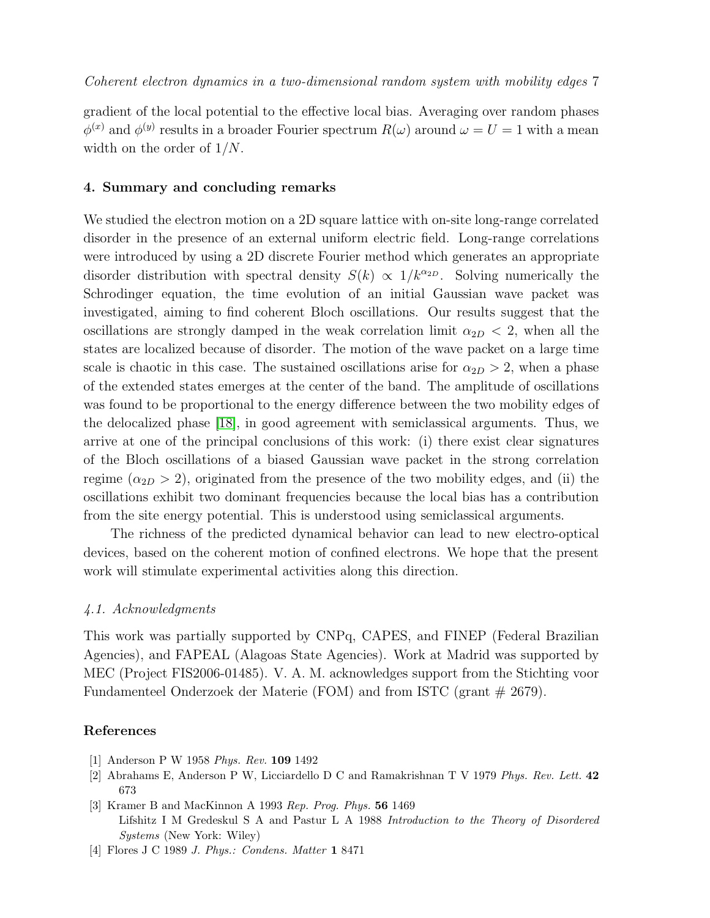gradient of the local potential to the effective local bias. Averaging over random phases  $\phi^{(x)}$  and  $\phi^{(y)}$  results in a broader Fourier spectrum  $R(\omega)$  around  $\omega = U = 1$  with a mean width on the order of  $1/N$ .

### 4. Summary and concluding remarks

We studied the electron motion on a 2D square lattice with on-site long-range correlated disorder in the presence of an external uniform electric field. Long-range correlations were introduced by using a 2D discrete Fourier method which generates an appropriate disorder distribution with spectral density  $S(k) \propto 1/k^{\alpha_{2D}}$ . Solving numerically the Schrodinger equation, the time evolution of an initial Gaussian wave packet was investigated, aiming to find coherent Bloch oscillations. Our results suggest that the oscillations are strongly damped in the weak correlation limit  $\alpha_{2D} < 2$ , when all the states are localized because of disorder. The motion of the wave packet on a large time scale is chaotic in this case. The sustained oscillations arise for  $\alpha_{2D} > 2$ , when a phase of the extended states emerges at the center of the band. The amplitude of oscillations was found to be proportional to the energy difference between the two mobility edges of the delocalized phase [\[18\]](#page-7-13), in good agreement with semiclassical arguments. Thus, we arrive at one of the principal conclusions of this work: (i) there exist clear signatures of the Bloch oscillations of a biased Gaussian wave packet in the strong correlation regime  $(\alpha_{2D} > 2)$ , originated from the presence of the two mobility edges, and (ii) the oscillations exhibit two dominant frequencies because the local bias has a contribution from the site energy potential. This is understood using semiclassical arguments.

The richness of the predicted dynamical behavior can lead to new electro-optical devices, based on the coherent motion of confined electrons. We hope that the present work will stimulate experimental activities along this direction.

#### 4.1. Acknowledgments

This work was partially supported by CNPq, CAPES, and FINEP (Federal Brazilian Agencies), and FAPEAL (Alagoas State Agencies). Work at Madrid was supported by MEC (Project FIS2006-01485). V. A. M. acknowledges support from the Stichting voor Fundamenteel Onderzoek der Materie (FOM) and from ISTC (grant # 2679).

#### <span id="page-6-0"></span>References

- <span id="page-6-1"></span>[1] Anderson P W 1958 *Phys. Rev.* 109 1492
- <span id="page-6-2"></span>[2] Abrahams E, Anderson P W, Licciardello D C and Ramakrishnan T V 1979 *Phys. Rev. Lett.* 42 673
- [3] Kramer B and MacKinnon A 1993 *Rep. Prog. Phys.* 56 1469 Lifshitz I M Gredeskul S A and Pastur L A 1988 *Introduction to the Theory of Disordered Systems* (New York: Wiley)
- <span id="page-6-3"></span>[4] Flores J C 1989 *J. Phys.: Condens. Matter* 1 8471